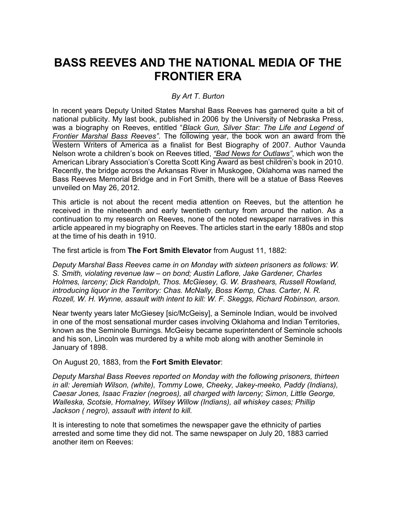# **BASS REEVES AND THE NATIONAL MEDIA OF THE FRONTIER ERA**

## *By Art T. Burton*

In recent years Deputy United States Marshal Bass Reeves has garnered quite a bit of national publicity. My last book, published in 2006 by the University of Nebraska Press, was a biography on Reeves, entitled "*Black Gun, Silver Star: The Life and Legend of Frontier Marshal Bass Reeves"*. The following year, the book won an award from the Western Writers of America as a finalist for Best Biography of 2007. Author Vaunda Nelson wrote a children's book on Reeves titled, *"Bad News for Outlaws"*, which won the American Library Association's Coretta Scott King Award as best children's book in 2010. Recently, the bridge across the Arkansas River in Muskogee, Oklahoma was named the Bass Reeves Memorial Bridge and in Fort Smith, there will be a statue of Bass Reeves unveiled on May 26, 2012.

This article is not about the recent media attention on Reeves, but the attention he received in the nineteenth and early twentieth century from around the nation. As a continuation to my research on Reeves, none of the noted newspaper narratives in this article appeared in my biography on Reeves. The articles start in the early 1880s and stop at the time of his death in 1910.

The first article is from **The Fort Smith Elevator** from August 11, 1882:

*Deputy Marshal Bass Reeves came in on Monday with sixteen prisoners as follows: W. S. Smith, violating revenue law – on bond; Austin Laflore, Jake Gardener, Charles Holmes, larceny; Dick Randolph, Thos. McGiesey, G. W. Brashears, Russell Rowland, introducing liquor in the Territory: Chas. McNally, Boss Kemp, Chas. Carter, N. R. Rozell, W. H. Wynne, assault with intent to kill: W. F. Skeggs, Richard Robinson, arson.*

Near twenty years later McGiesey [sic/McGeisy], a Seminole Indian, would be involved in one of the most sensational murder cases involving Oklahoma and Indian Territories, known as the Seminole Burnings. McGeisy became superintendent of Seminole schools and his son, Lincoln was murdered by a white mob along with another Seminole in January of 1898.

On August 20, 1883, from the **Fort Smith Elevator**:

*Deputy Marshal Bass Reeves reported on Monday with the following prisoners, thirteen in all: Jeremiah Wilson, (white), Tommy Lowe, Cheeky, Jakey-meeko, Paddy (Indians), Caesar Jones, Isaac Frazier (negroes), all charged with larceny; Simon, Little George, Walleska, Scotsie, Homalney, Wilsey Willow (Indians), all whiskey cases; Phillip Jackson ( negro), assault with intent to kill.*

It is interesting to note that sometimes the newspaper gave the ethnicity of parties arrested and some time they did not. The same newspaper on July 20, 1883 carried another item on Reeves: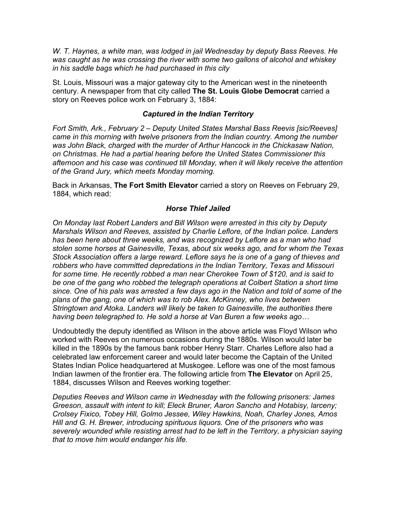*W. T. Haynes, a white man, was lodged in jail Wednesday by deputy Bass Reeves. He was caught as he was crossing the river with some two gallons of alcohol and whiskey in his saddle bags which he had purchased in this city*

St. Louis, Missouri was a major gateway city to the American west in the nineteenth century. A newspaper from that city called **The St. Louis Globe Democrat** carried a story on Reeves police work on February 3, 1884:

### *Captured in the Indian Territory*

*Fort Smith, Ark., February 2 – Deputy United States Marshal Bass Reevis [sic/Reeves] came in this morning with twelve prisoners from the Indian country. Among the number*  was John Black, charged with the murder of Arthur Hancock in the Chickasaw Nation, *on Christmas. He had a partial hearing before the United States Commissioner this afternoon and his case was continued till Monday, when it will likely receive the attention of the Grand Jury, which meets Monday morning.*

Back in Arkansas, **The Fort Smith Elevator** carried a story on Reeves on February 29, 1884, which read:

## *Horse Thief Jailed*

*On Monday last Robert Landers and Bill Wilson were arrested in this city by Deputy Marshals Wilson and Reeves, assisted by Charlie Leflore, of the Indian police. Landers has been here about three weeks, and was recognized by Leflore as a man who had stolen some horses at Gainesville, Texas, about six weeks ago, and for whom the Texas Stock Association offers a large reward. Leflore says he is one of a gang of thieves and robbers who have committed depredations in the Indian Territory, Texas and Missouri for some time. He recently robbed a man near Cherokee Town of \$120, and is said to be one of the gang who robbed the telegraph operations at Colbert Station a short time since. One of his pals was arrested a few days ago in the Nation and told of some of the plans of the gang, one of which was to rob Alex. McKinney, who lives between Stringtown and Atoka. Landers will likely be taken to Gainesville, the authorities there having been telegraphed to. He sold a horse at Van Buren a few weeks ago…*

Undoubtedly the deputy identified as Wilson in the above article was Floyd Wilson who worked with Reeves on numerous occasions during the 1880s. Wilson would later be killed in the 1890s by the famous bank robber Henry Starr. Charles Leflore also had a celebrated law enforcement career and would later become the Captain of the United States Indian Police headquartered at Muskogee. Leflore was one of the most famous Indian lawmen of the frontier era. The following article from **The Elevator** on April 25, 1884, discusses Wilson and Reeves working together:

*Deputies Reeves and Wilson came in Wednesday with the following prisoners: James Greeson, assault with intent to kill; Eleck Bruner, Aaron Sancho and Hotabisy, larceny; Crolsey Fixico, Tobey Hill, Golmo Jessee, Wiley Hawkins, Noah, Charley Jones, Amos Hill and G. H. Brewer, introducing spirituous liquors. One of the prisoners who was severely wounded while resisting arrest had to be left in the Territory, a physician saying that to move him would endanger his life.*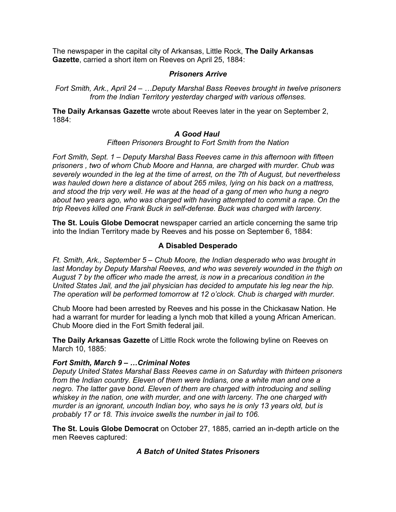The newspaper in the capital city of Arkansas, Little Rock, **The Daily Arkansas Gazette**, carried a short item on Reeves on April 25, 1884:

#### *Prisoners Arrive*

*Fort Smith, Ark., April 24 – …Deputy Marshal Bass Reeves brought in twelve prisoners from the Indian Territory yesterday charged with various offenses.*

**The Daily Arkansas Gazette** wrote about Reeves later in the year on September 2, 1884:

## *A Good Haul*

*Fifteen Prisoners Brought to Fort Smith from the Nation*

*Fort Smith, Sept. 1 – Deputy Marshal Bass Reeves came in this afternoon with fifteen prisoners , two of whom Chub Moore and Hanna, are charged with murder. Chub was severely wounded in the leg at the time of arrest, on the 7th of August, but nevertheless was hauled down here a distance of about 265 miles, lying on his back on a mattress, and stood the trip very well. He was at the head of a gang of men who hung a negro about two years ago, who was charged with having attempted to commit a rape. On the trip Reeves killed one Frank Buck in self-defense. Buck was charged with larceny.*

**The St. Louis Globe Democrat** newspaper carried an article concerning the same trip into the Indian Territory made by Reeves and his posse on September 6, 1884:

## **A Disabled Desperado**

*Ft. Smith, Ark., September 5 – Chub Moore, the Indian desperado who was brought in last Monday by Deputy Marshal Reeves, and who was severely wounded in the thigh on August 7 by the officer who made the arrest, is now in a precarious condition in the United States Jail, and the jail physician has decided to amputate his leg near the hip. The operation will be performed tomorrow at 12 o'clock. Chub is charged with murder.*

Chub Moore had been arrested by Reeves and his posse in the Chickasaw Nation. He had a warrant for murder for leading a lynch mob that killed a young African American. Chub Moore died in the Fort Smith federal jail.

**The Daily Arkansas Gazette** of Little Rock wrote the following byline on Reeves on March 10, 1885:

#### *Fort Smith, March 9 – …Criminal Notes*

*Deputy United States Marshal Bass Reeves came in on Saturday with thirteen prisoners from the Indian country. Eleven of them were Indians, one a white man and one a negro. The latter gave bond. Eleven of them are charged with introducing and selling whiskey in the nation, one with murder, and one with larceny. The one charged with murder is an ignorant, uncouth Indian boy, who says he is only 13 years old, but is probably 17 or 18. This invoice swells the number in jail to 106.*

**The St. Louis Globe Democrat** on October 27, 1885, carried an in-depth article on the men Reeves captured:

## *A Batch of United States Prisoners*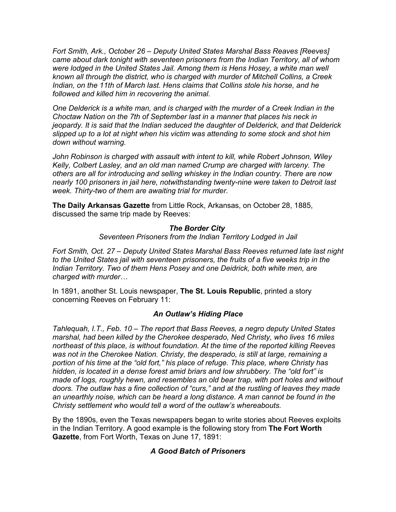*Fort Smith, Ark., October 26 – Deputy United States Marshal Bass Reaves [Reeves] came about dark tonight with seventeen prisoners from the Indian Territory, all of whom*  were lodged in the United States Jail. Among them is Hens Hosey, a white man well *known all through the district, who is charged with murder of Mitchell Collins, a Creek Indian, on the 11th of March last. Hens claims that Collins stole his horse, and he followed and killed him in recovering the animal.*

*One Delderick is a white man, and is charged with the murder of a Creek Indian in the Choctaw Nation on the 7th of September last in a manner that places his neck in jeopardy. It is said that the Indian seduced the daughter of Delderick, and that Delderick slipped up to a lot at night when his victim was attending to some stock and shot him down without warning.*

*John Robinson is charged with assault with intent to kill, while Robert Johnson, Wiley Kelly, Colbert Lasley, and an old man named Crump are charged with larceny. The others are all for introducing and selling whiskey in the Indian country. There are now nearly 100 prisoners in jail here, notwithstanding twenty-nine were taken to Detroit last week. Thirty-two of them are awaiting trial for murder.*

**The Daily Arkansas Gazette** from Little Rock, Arkansas, on October 28, 1885, discussed the same trip made by Reeves:

## *The Border City*

*Seventeen Prisoners from the Indian Territory Lodged in Jail*

*Fort Smith, Oct. 27 – Deputy United States Marshal Bass Reeves returned late last night to the United States jail with seventeen prisoners, the fruits of a five weeks trip in the Indian Territory. Two of them Hens Posey and one Deidrick, both white men, are charged with murder…*

In 1891, another St. Louis newspaper, **The St. Louis Republic**, printed a story concerning Reeves on February 11:

#### *An Outlaw's Hiding Place*

*Tahlequah, I.T., Feb. 10 – The report that Bass Reeves, a negro deputy United States marshal, had been killed by the Cherokee desperado, Ned Christy, who lives 16 miles northeast of this place, is without foundation. At the time of the reported killing Reeves was not in the Cherokee Nation. Christy, the desperado, is still at large, remaining a portion of his time at the "old fort," his place of refuge. This place, where Christy has hidden, is located in a dense forest amid briars and low shrubbery. The "old fort" is made of logs, roughly hewn, and resembles an old bear trap, with port holes and without doors. The outlaw has a fine collection of "curs," and at the rustling of leaves they made an unearthly noise, which can be heard a long distance. A man cannot be found in the Christy settlement who would tell a word of the outlaw's whereabouts.*

By the 1890s, even the Texas newspapers began to write stories about Reeves exploits in the Indian Territory. A good example is the following story from **The Fort Worth Gazette**, from Fort Worth, Texas on June 17, 1891:

## *A Good Batch of Prisoners*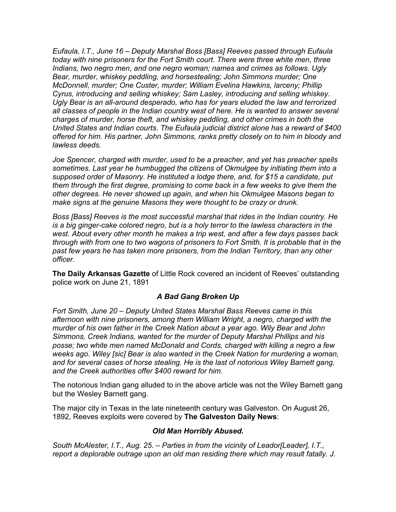*Eufaula, I.T., June 16 – Deputy Marshal Boss [Bass] Reeves passed through Eufaula today with nine prisoners for the Fort Smith court. There were three white men, three Indians, two negro men, and one negro woman; names and crimes as follows. Ugly Bear, murder, whiskey peddling, and horsestealing; John Simmons murder; One McDonnell, murder; One Custer, murder; William Evelina Hawkins, larceny; Phillip Cyrus, introducing and selling whiskey; Sam Lasley, introducing and selling whiskey. Ugly Bear is an all-around desperado, who has for years eluded the law and terrorized all classes of people in the Indian country west of here. He is wanted to answer several charges of murder, horse theft, and whiskey peddling, and other crimes in both the United States and Indian courts. The Eufaula judicial district alone has a reward of \$400 offered for him. His partner, John Simmons, ranks pretty closely on to him in bloody and lawless deeds.*

*Joe Spencer, charged with murder, used to be a preacher, and yet has preacher spells sometimes. Last year he humbugged the citizens of Okmulgee by initiating them into a supposed order of Masonry. He instituted a lodge there, and, for \$15 a candidate, put them through the first degree, promising to come back in a few weeks to give them the other degrees. He never showed up again, and when his Okmulgee Masons began to make signs at the genuine Masons they were thought to be crazy or drunk.*

*Boss [Bass] Reeves is the most successful marshal that rides in the Indian country. He is a big ginger-cake colored negro, but is a holy terror to the lawless characters in the west. About every other month he makes a trip west, and after a few days passes back through with from one to two wagons of prisoners to Fort Smith. It is probable that in the past few years he has taken more prisoners, from the Indian Territory, than any other officer.*

**The Daily Arkansas Gazette** of Little Rock covered an incident of Reeves' outstanding police work on June 21, 1891

## *A Bad Gang Broken Up*

*Fort Smith, June 20 – Deputy United States Marshal Bass Reeves came in this afternoon with nine prisoners, among them William Wright, a negro, charged with the murder of his own father in the Creek Nation about a year ago. Wily Bear and John Simmons, Creek Indians, wanted for the murder of Deputy Marshal Phillips and his posse; two white men named McDonald and Cords, charged with killing a negro a few weeks ago. Wiley [sic] Bear is also wanted in the Creek Nation for murdering a woman, and for several cases of horse stealing. He is the last of notorious Wiley Barnett gang, and the Creek authorities offer \$400 reward for him.*

The notorious Indian gang alluded to in the above article was not the Wiley Barnett gang but the Wesley Barnett gang.

The major city in Texas in the late nineteenth century was Galveston. On August 26, 1892, Reeves exploits were covered by **The Galveston Daily News**:

#### *Old Man Horribly Abused.*

*South McAlester, I.T., Aug. 25. – Parties in from the vicinity of Leador[Leader], I.T., report a deplorable outrage upon an old man residing there which may result fatally. J.*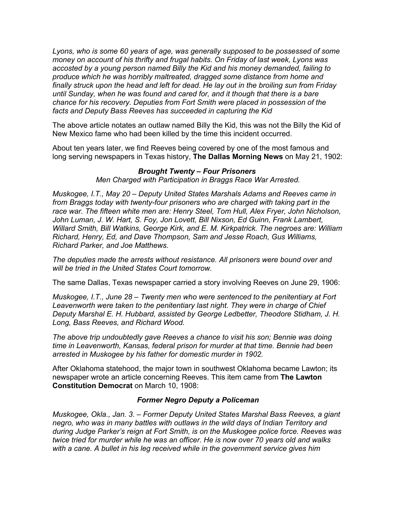*Lyons, who is some 60 years of age, was generally supposed to be possessed of some money on account of his thrifty and frugal habits. On Friday of last week, Lyons was accosted by a young person named Billy the Kid and his money demanded, failing to produce which he was horribly maltreated, dragged some distance from home and finally struck upon the head and left for dead. He lay out in the broiling sun from Friday until Sunday, when he was found and cared for, and it though that there is a bare chance for his recovery. Deputies from Fort Smith were placed in possession of the facts and Deputy Bass Reeves has succeeded in capturing the Kid*

The above article notates an outlaw named Billy the Kid, this was not the Billy the Kid of New Mexico fame who had been killed by the time this incident occurred.

About ten years later, we find Reeves being covered by one of the most famous and long serving newspapers in Texas history, **The Dallas Morning News** on May 21, 1902:

#### *Brought Twenty – Four Prisoners*

*Men Charged with Participation in Braggs Race War Arrested.*

*Muskogee, I.T., May 20 – Deputy United States Marshals Adams and Reeves came in from Braggs today with twenty-four prisoners who are charged with taking part in the race war. The fifteen white men are: Henry Steel, Tom Hull, Alex Fryer, John Nicholson,*  John Luman, J. W. Hart, S. Foy, Jon Lovett, Bill Nixson, Ed Guinn, Frank Lambert, *Willard Smith, Bill Watkins, George Kirk, and E. M. Kirkpatrick. The negroes are: William Richard, Henry, Ed, and Dave Thompson, Sam and Jesse Roach, Gus Williams, Richard Parker, and Joe Matthews.*

*The deputies made the arrests without resistance. All prisoners were bound over and will be tried in the United States Court tomorrow.*

The same Dallas, Texas newspaper carried a story involving Reeves on June 29, 1906:

*Muskogee, I.T., June 28 – Twenty men who were sentenced to the penitentiary at Fort Leavenworth were taken to the penitentiary last night. They were in charge of Chief Deputy Marshal E. H. Hubbard, assisted by George Ledbetter, Theodore Stidham, J. H. Long, Bass Reeves, and Richard Wood.*

*The above trip undoubtedly gave Reeves a chance to visit his son; Bennie was doing time in Leavenworth, Kansas, federal prison for murder at that time. Bennie had been arrested in Muskogee by his father for domestic murder in 1902.*

After Oklahoma statehood, the major town in southwest Oklahoma became Lawton; its newspaper wrote an article concerning Reeves. This item came from **The Lawton Constitution Democrat** on March 10, 1908:

#### *Former Negro Deputy a Policeman*

*Muskogee, Okla., Jan. 3. – Former Deputy United States Marshal Bass Reeves, a giant negro, who was in many battles with outlaws in the wild days of Indian Territory and during Judge Parker's reign at Fort Smith, is on the Muskogee police force. Reeves was twice tried for murder while he was an officer. He is now over 70 years old and walks with a cane. A bullet in his leg received while in the government service gives him*